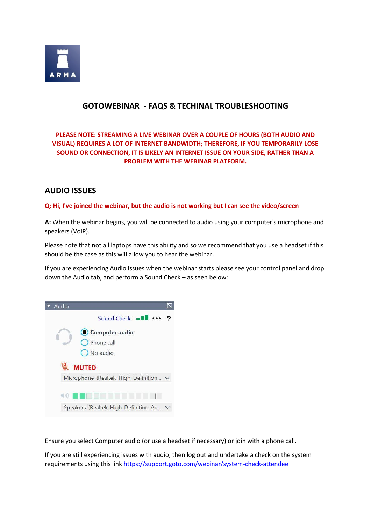

# **GOTOWEBINAR - FAQS & TECHINAL TROUBLESHOOTING**

### **PLEASE NOTE: STREAMING A LIVE WEBINAR OVER A COUPLE OF HOURS (BOTH AUDIO AND VISUAL) REQUIRES A LOT OF INTERNET BANDWIDTH; THEREFORE, IF YOU TEMPORARILY LOSE SOUND OR CONNECTION, IT IS LIKELY AN INTERNET ISSUE ON YOUR SIDE, RATHER THAN A PROBLEM WITH THE WEBINAR PLATFORM.**

## **AUDIO ISSUES**

### **Q: Hi, I've joined the webinar, but the audio is not working but I can see the video/screen**

**A:** When the webinar begins, you will be connected to audio using your computer's microphone and speakers (VoIP).

Please note that not all laptops have this ability and so we recommend that you use a headset if this should be the case as this will allow you to hear the webinar.

If you are experiencing Audio issues when the webinar starts please see your control panel and drop down the Audio tab, and perform a Sound Check – as seen below:



Ensure you select Computer audio (or use a headset if necessary) or join with a phone call.

If you are still experiencing issues with audio, then log out and undertake a check on the system requirements using this link<https://support.goto.com/webinar/system-check-attendee>